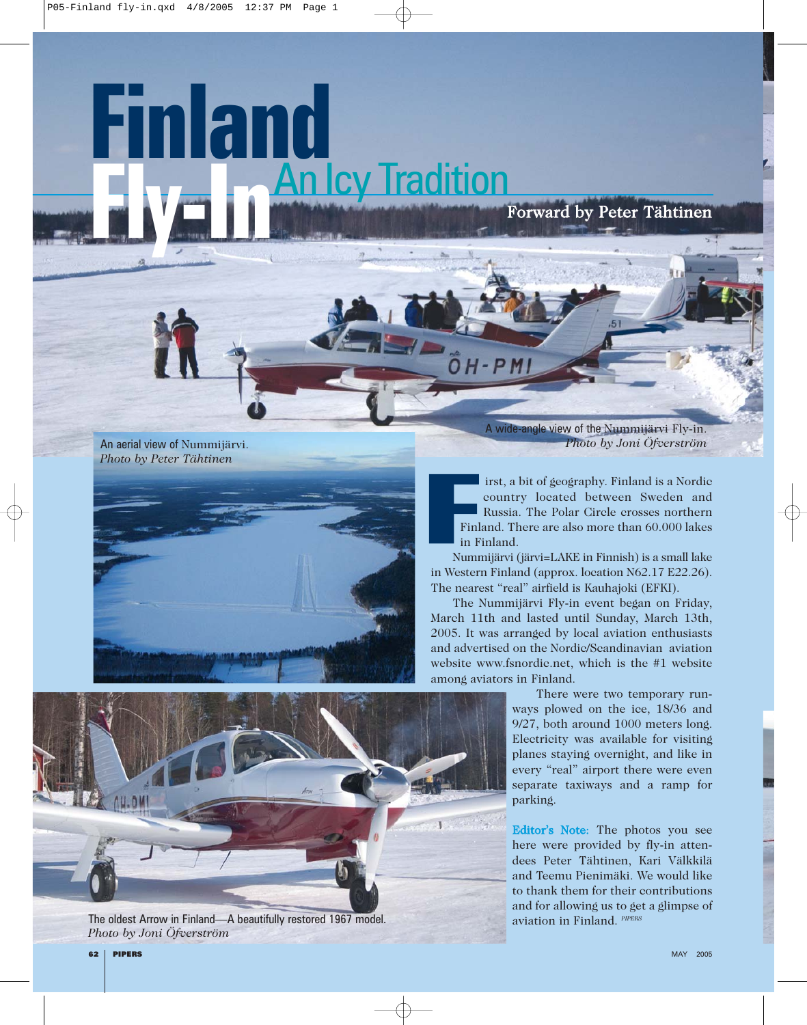## **Finland An Icy Tradition**

*Photo by Peter Tähtinen*





The oldest Arrow in Finland—A beautifully restored 1967 model. *Photo by Joni Öfverström*

A wide-angle view of the Nummijärvi Fly-in. An aerial view of Nummijärvi. *Photo by Joni Öfverström*

Forward by Peter Tähtinen

irst, a bit of geography. Finland is a Nordic country located between Sweden and Russia. The Polar Circle crosses northern Finland. There are also more than 60.000 lakes in Finland.

Nummijärvi (järvi=LAKE in Finnish) is a small lake in Western Finland (approx. location N62.17 E22.26). The nearest "real" airfield is Kauhajoki (EFKI).

 $H - P$ 

The Nummijärvi Fly-in event began on Friday, March 11th and lasted until Sunday, March 13th, 2005. It was arranged by local aviation enthusiasts and advertised on the Nordic/Scandinavian aviation website www.fsnordic.net, which is the #1 website among aviators in Finland.

> There were two temporary runways plowed on the ice, 18/36 and 9/27, both around 1000 meters long. Electricity was available for visiting planes staying overnight, and like in every "real" airport there were even separate taxiways and a ramp for parking.

> Editor's Note: The photos you see here were provided by fly-in attendees Peter Tähtinen, Kari Välkkilä and Teemu Pienimäki. We would like to thank them for their contributions and for allowing us to get a glimpse of aviation in Finland. *PIPERS*